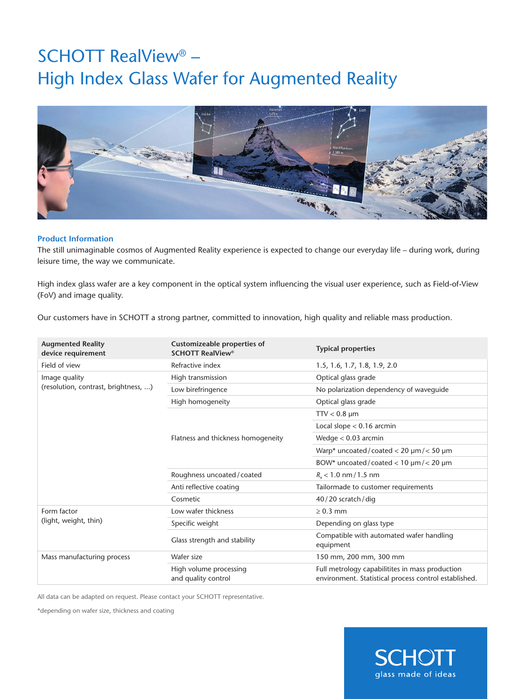## SCHOTT RealView® – High Index Glass Wafer for Augmented Reality



## **Product Information**

The still unimaginable cosmos of Augmented Reality experience is expected to change our everyday life – during work, during leisure time, the way we communicate.

High index glass wafer are a key component in the optical system influencing the visual user experience, such as Field-of-View (FoV) and image quality.

Our customers have in SCHOTT a strong partner, committed to innovation, high quality and reliable mass production.

| <b>Augmented Reality</b><br>device requirement        | Customizeable properties of<br><b>SCHOTT RealView®</b> | <b>Typical properties</b>                                                                                |
|-------------------------------------------------------|--------------------------------------------------------|----------------------------------------------------------------------------------------------------------|
| Field of view                                         | Refractive index                                       | 1.5, 1.6, 1.7, 1.8, 1.9, 2.0                                                                             |
| Image quality<br>(resolution, contrast, brightness, ) | High transmission                                      | Optical glass grade                                                                                      |
|                                                       | Low birefringence                                      | No polarization dependency of wavequide                                                                  |
|                                                       | High homogeneity                                       | Optical glass grade                                                                                      |
|                                                       | Flatness and thickness homogeneity                     | $TTV < 0.8$ µm                                                                                           |
|                                                       |                                                        | Local slope $< 0.16$ arcmin                                                                              |
|                                                       |                                                        | Wedge $< 0.03$ arcmin                                                                                    |
|                                                       |                                                        | Warp* uncoated/coated < 20 $\mu$ m/< 50 $\mu$ m                                                          |
|                                                       |                                                        | BOW* uncoated/coated < 10 $\mu$ m/< 20 $\mu$ m                                                           |
|                                                       | Roughness uncoated / coated                            | $R_a$ < 1.0 nm / 1.5 nm                                                                                  |
|                                                       | Anti reflective coating                                | Tailormade to customer requirements                                                                      |
|                                                       | Cosmetic                                               | $40/20$ scratch/dig                                                                                      |
| Form factor<br>(light, weight, thin)                  | Low wafer thickness                                    | $\geq 0.3$ mm                                                                                            |
|                                                       | Specific weight                                        | Depending on glass type                                                                                  |
|                                                       | Glass strength and stability                           | Compatible with automated wafer handling<br>equipment                                                    |
| Mass manufacturing process                            | Wafer size                                             | 150 mm, 200 mm, 300 mm                                                                                   |
|                                                       | High volume processing<br>and quality control          | Full metrology capabilitites in mass production<br>environment. Statistical process control established. |

All data can be adapted on request. Please contact your SCHOTT representative.

\*depending on wafer size, thickness and coating